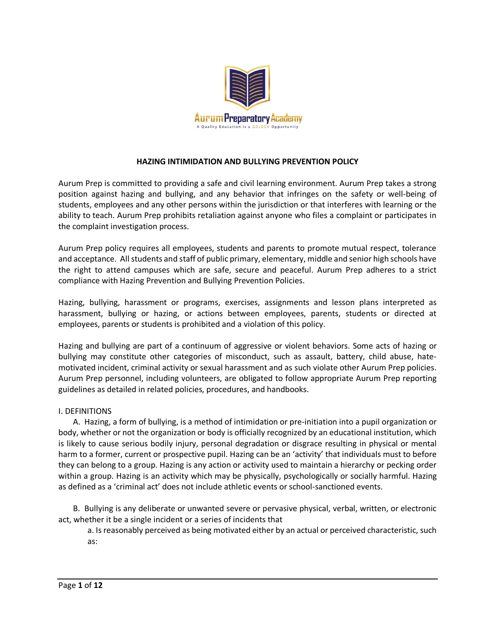

### **HAZING INTIMIDATION AND BULLYING PREVENTION POLICY**

Aurum Prep is committed to providing a safe and civil learning environment. Aurum Prep takes a strong position against hazing and bullying, and any behavior that infringes on the safety or well-being of students, employees and any other persons within the jurisdiction or that interferes with learning or the ability to teach. Aurum Prep prohibits retaliation against anyone who files a complaint or participates in the complaint investigation process.

Aurum Prep policy requires all employees, students and parents to promote mutual respect, tolerance and acceptance. All students and staff of public primary, elementary, middle and senior high schools have the right to attend campuses which are safe, secure and peaceful. Aurum Prep adheres to a strict compliance with Hazing Prevention and Bullying Prevention Policies.

Hazing, bullying, harassment or programs, exercises, assignments and lesson plans interpreted as harassment, bullying or hazing, or actions between employees, parents, students or directed at employees, parents or students is prohibited and a violation of this policy.

Hazing and bullying are part of a continuum of aggressive or violent behaviors. Some acts of hazing or bullying may constitute other categories of misconduct, such as assault, battery, child abuse, hatemotivated incident, criminal activity or sexual harassment and as such violate other Aurum Prep policies. Aurum Prep personnel, including volunteers, are obligated to follow appropriate Aurum Prep reporting guidelines as detailed in related policies, procedures, and handbooks.

#### I. DEFINITIONS

A. Hazing, a form of bullying, is a method of intimidation or pre-initiation into a pupil organization or body, whether or not the organization or body is officially recognized by an educational institution, which is likely to cause serious bodily injury, personal degradation or disgrace resulting in physical or mental harm to a former, current or prospective pupil. Hazing can be an 'activity' that individuals must to before they can belong to a group. Hazing is any action or activity used to maintain a hierarchy or pecking order within a group. Hazing is an activity which may be physically, psychologically or socially harmful. Hazing as defined as a 'criminal act' does not include athletic events or school-sanctioned events.

B. Bullying is any deliberate or unwanted severe or pervasive physical, verbal, written, or electronic act, whether it be a single incident or a series of incidents that

a. Is reasonably perceived as being motivated either by an actual or perceived characteristic, such as: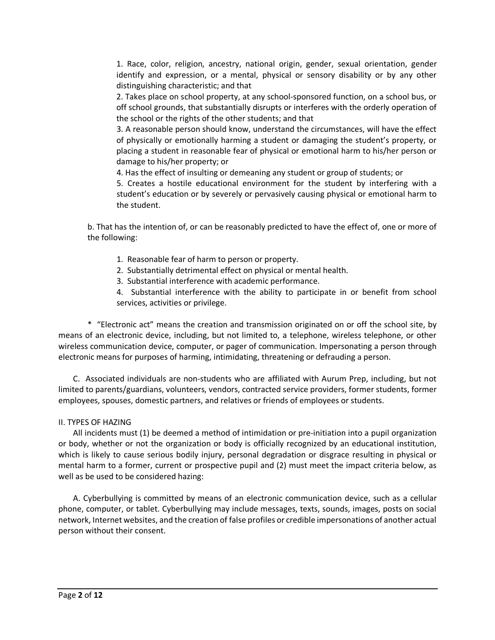1. Race, color, religion, ancestry, national origin, gender, sexual orientation, gender identify and expression, or a mental, physical or sensory disability or by any other distinguishing characteristic; and that

2. Takes place on school property, at any school-sponsored function, on a school bus, or off school grounds, that substantially disrupts or interferes with the orderly operation of the school or the rights of the other students; and that

3. A reasonable person should know, understand the circumstances, will have the effect of physically or emotionally harming a student or damaging the student's property, or placing a student in reasonable fear of physical or emotional harm to his/her person or damage to his/her property; or

4. Has the effect of insulting or demeaning any student or group of students; or

5. Creates a hostile educational environment for the student by interfering with a student's education or by severely or pervasively causing physical or emotional harm to the student.

b. That has the intention of, or can be reasonably predicted to have the effect of, one or more of the following:

- 1. Reasonable fear of harm to person or property.
- 2. Substantially detrimental effect on physical or mental health.
- 3. Substantial interference with academic performance.

4. Substantial interference with the ability to participate in or benefit from school services, activities or privilege.

\* "Electronic act" means the creation and transmission originated on or off the school site, by means of an electronic device, including, but not limited to, a telephone, wireless telephone, or other wireless communication device, computer, or pager of communication. Impersonating a person through electronic means for purposes of harming, intimidating, threatening or defrauding a person.

C. Associated individuals are non-students who are affiliated with Aurum Prep, including, but not limited to parents/guardians, volunteers, vendors, contracted service providers, former students, former employees, spouses, domestic partners, and relatives or friends of employees or students.

#### II. TYPES OF HAZING

All incidents must (1) be deemed a method of intimidation or pre-initiation into a pupil organization or body, whether or not the organization or body is officially recognized by an educational institution, which is likely to cause serious bodily injury, personal degradation or disgrace resulting in physical or mental harm to a former, current or prospective pupil and (2) must meet the impact criteria below, as well as be used to be considered hazing:

A. Cyberbullying is committed by means of an electronic communication device, such as a cellular phone, computer, or tablet. Cyberbullying may include messages, texts, sounds, images, posts on social network, Internet websites, and the creation of false profiles or credible impersonations of another actual person without their consent.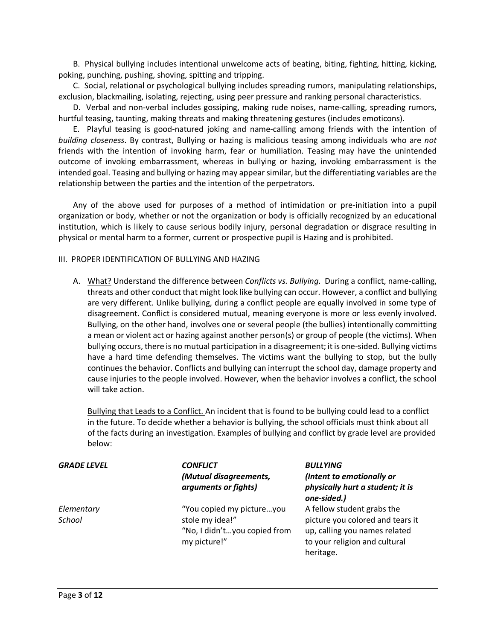B. Physical bullying includes intentional unwelcome acts of beating, biting, fighting, hitting, kicking, poking, punching, pushing, shoving, spitting and tripping.

C. Social, relational or psychological bullying includes spreading rumors, manipulating relationships, exclusion, blackmailing, isolating, rejecting, using peer pressure and ranking personal characteristics.

D. Verbal and non-verbal includes gossiping, making rude noises, name-calling, spreading rumors, hurtful teasing, taunting, making threats and making threatening gestures (includes emoticons).

E. Playful teasing is good-natured joking and name-calling among friends with the intention of *building closeness*. By contrast, Bullying or hazing is malicious teasing among individuals who are *not* friends with the intention of invoking harm, fear or humiliation. Teasing may have the unintended outcome of invoking embarrassment, whereas in bullying or hazing, invoking embarrassment is the intended goal. Teasing and bullying or hazing may appear similar, but the differentiating variables are the relationship between the parties and the intention of the perpetrators.

Any of the above used for purposes of a method of intimidation or pre-initiation into a pupil organization or body, whether or not the organization or body is officially recognized by an educational institution, which is likely to cause serious bodily injury, personal degradation or disgrace resulting in physical or mental harm to a former, current or prospective pupil is Hazing and is prohibited.

#### III. PROPER IDENTIFICATION OF BULLYING AND HAZING

A. What? Understand the difference between *Conflicts vs. Bullying*. During a conflict, name-calling, threats and other conduct that might look like bullying can occur. However, a conflict and bullying are very different. Unlike bullying, during a conflict people are equally involved in some type of disagreement. Conflict is considered mutual, meaning everyone is more or less evenly involved. Bullying, on the other hand, involves one or several people (the bullies) intentionally committing a mean or violent act or hazing against another person(s) or group of people (the victims). When bullying occurs, there is no mutual participation in a disagreement; it is one-sided. Bullying victims have a hard time defending themselves. The victims want the bullying to stop, but the bully continues the behavior. Conflicts and bullying can interrupt the school day, damage property and cause injuries to the people involved. However, when the behavior involves a conflict, the school will take action.

Bullying that Leads to a Conflict. An incident that is found to be bullying could lead to a conflict in the future. To decide whether a behavior is bullying, the school officials must think about all of the facts during an investigation. Examples of bullying and conflict by grade level are provided below:

| <b>GRADE LEVEL</b>   | CONFLICT<br>(Mutual disagreements,<br>arguments or fights)                                   | <b>BULLYING</b><br>(Intent to emotionally or<br>physically hurt a student; it is<br>one-sided.)                                               |
|----------------------|----------------------------------------------------------------------------------------------|-----------------------------------------------------------------------------------------------------------------------------------------------|
| Elementary<br>School | "You copied my pictureyou<br>stole my idea!"<br>"No, I didn'tyou copied from<br>my picture!" | A fellow student grabs the<br>picture you colored and tears it<br>up, calling you names related<br>to your religion and cultural<br>heritage. |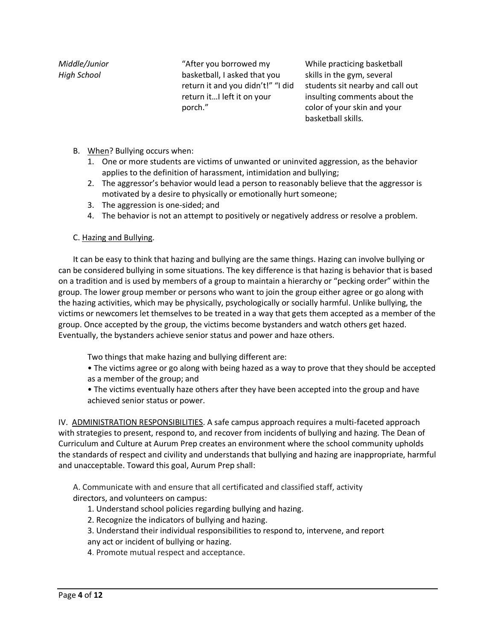*Middle/Junior High School* 

"After you borrowed my basketball, I asked that you return it and you didn't!" "I did return it…I left it on your porch."

While practicing basketball skills in the gym, several students sit nearby and call out insulting comments about the color of your skin and your basketball skills.

- B. When? Bullying occurs when:
	- 1. One or more students are victims of unwanted or uninvited aggression, as the behavior applies to the definition of harassment, intimidation and bullying;
	- 2. The aggressor's behavior would lead a person to reasonably believe that the aggressor is motivated by a desire to physically or emotionally hurt someone;
	- 3. The aggression is one-sided; and
	- 4. The behavior is not an attempt to positively or negatively address or resolve a problem.

# C. Hazing and Bullying.

It can be easy to think that hazing and bullying are the same things. Hazing can involve bullying or can be considered bullying in some situations. The key difference is that hazing is behavior that is based on a tradition and is used by members of a group to maintain a hierarchy or "pecking order" within the group. The lower group member or persons who want to join the group either agree or go along with the hazing activities, which may be physically, psychologically or socially harmful. Unlike bullying, the victims or newcomers let themselves to be treated in a way that gets them accepted as a member of the group. Once accepted by the group, the victims become bystanders and watch others get hazed. Eventually, the bystanders achieve senior status and power and haze others.

Two things that make hazing and bullying different are:

• The victims agree or go along with being hazed as a way to prove that they should be accepted as a member of the group; and

• The victims eventually haze others after they have been accepted into the group and have achieved senior status or power.

IV. ADMINISTRATION RESPONSIBILITIES. A safe campus approach requires a multi-faceted approach with strategies to present, respond to, and recover from incidents of bullying and hazing. The Dean of Curriculum and Culture at Aurum Prep creates an environment where the school community upholds the standards of respect and civility and understands that bullying and hazing are inappropriate, harmful and unacceptable. Toward this goal, Aurum Prep shall:

A. Communicate with and ensure that all certificated and classified staff, activity directors, and volunteers on campus:

1. Understand school policies regarding bullying and hazing.

2. Recognize the indicators of bullying and hazing.

3. Understand their individual responsibilities to respond to, intervene, and report any act or incident of bullying or hazing.

4. Promote mutual respect and acceptance.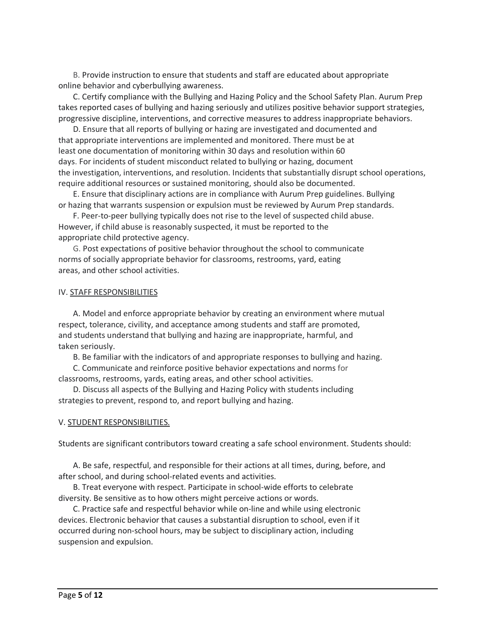B. Provide instruction to ensure that students and staff are educated about appropriate online behavior and cyberbullying awareness.

C. Certify compliance with the Bullying and Hazing Policy and the School Safety Plan. Aurum Prep takes reported cases of bullying and hazing seriously and utilizes positive behavior support strategies, progressive discipline, interventions, and corrective measures to address inappropriate behaviors.

D. Ensure that all reports of bullying or hazing are investigated and documented and that appropriate interventions are implemented and monitored. There must be at least one documentation of monitoring within 30 days and resolution within 60 days. For incidents of student misconduct related to bullying or hazing, document the investigation, interventions, and resolution. Incidents that substantially disrupt school operations, require additional resources or sustained monitoring, should also be documented.

E. Ensure that disciplinary actions are in compliance with Aurum Prep guidelines. Bullying or hazing that warrants suspension or expulsion must be reviewed by Aurum Prep standards.

F. Peer-to-peer bullying typically does not rise to the level of suspected child abuse. However, if child abuse is reasonably suspected, it must be reported to the appropriate child protective agency.

G. Post expectations of positive behavior throughout the school to communicate norms of socially appropriate behavior for classrooms, restrooms, yard, eating areas, and other school activities.

#### IV. STAFF RESPONSIBILITIES

A. Model and enforce appropriate behavior by creating an environment where mutual respect, tolerance, civility, and acceptance among students and staff are promoted, and students understand that bullying and hazing are inappropriate, harmful, and taken seriously.

B. Be familiar with the indicators of and appropriate responses to bullying and hazing.

C. Communicate and reinforce positive behavior expectations and norms for classrooms, restrooms, yards, eating areas, and other school activities.

D. Discuss all aspects of the Bullying and Hazing Policy with students including strategies to prevent, respond to, and report bullying and hazing.

#### V. STUDENT RESPONSIBILITIES.

Students are significant contributors toward creating a safe school environment. Students should:

A. Be safe, respectful, and responsible for their actions at all times, during, before, and after school, and during school-related events and activities.

B. Treat everyone with respect. Participate in school-wide efforts to celebrate diversity. Be sensitive as to how others might perceive actions or words.

C. Practice safe and respectful behavior while on-line and while using electronic devices. Electronic behavior that causes a substantial disruption to school, even if it occurred during non-school hours, may be subject to disciplinary action, including suspension and expulsion.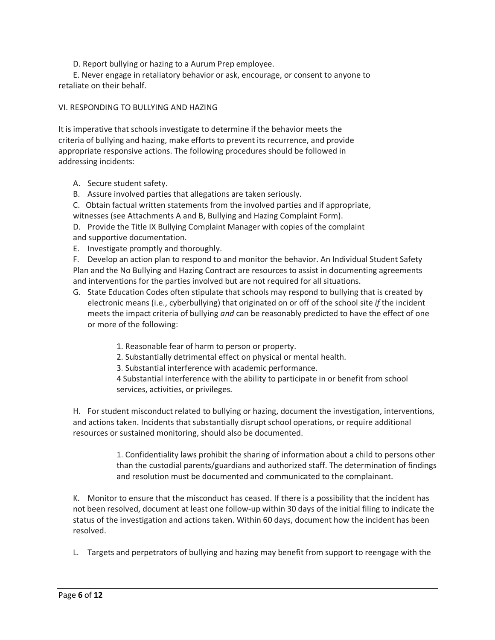D. Report bullying or hazing to a Aurum Prep employee.

E. Never engage in retaliatory behavior or ask, encourage, or consent to anyone to retaliate on their behalf.

### VI. RESPONDING TO BULLYING AND HAZING

It is imperative that schools investigate to determine if the behavior meets the criteria of bullying and hazing, make efforts to prevent its recurrence, and provide appropriate responsive actions. The following procedures should be followed in addressing incidents:

- A. Secure student safety.
- B. Assure involved parties that allegations are taken seriously.
- C. Obtain factual written statements from the involved parties and if appropriate, witnesses (see Attachments A and B, Bullying and Hazing Complaint Form).
- D. Provide the Title IX Bullying Complaint Manager with copies of the complaint and supportive documentation.
- E. Investigate promptly and thoroughly.

F. Develop an action plan to respond to and monitor the behavior. An Individual Student Safety Plan and the No Bullying and Hazing Contract are resources to assist in documenting agreements and interventions for the parties involved but are not required for all situations.

- G. State Education Codes often stipulate that schools may respond to bullying that is created by electronic means (i.e., cyberbullying) that originated on or off of the school site *if* the incident meets the impact criteria of bullying *and* can be reasonably predicted to have the effect of one or more of the following:
	- 1. Reasonable fear of harm to person or property.
	- 2. Substantially detrimental effect on physical or mental health.
	- 3. Substantial interference with academic performance.

4 Substantial interference with the ability to participate in or benefit from school services, activities, or privileges.

H. For student misconduct related to bullying or hazing, document the investigation, interventions, and actions taken. Incidents that substantially disrupt school operations, or require additional resources or sustained monitoring, should also be documented.

> 1. Confidentiality laws prohibit the sharing of information about a child to persons other than the custodial parents/guardians and authorized staff. The determination of findings and resolution must be documented and communicated to the complainant.

K. Monitor to ensure that the misconduct has ceased. If there is a possibility that the incident has not been resolved, document at least one follow-up within 30 days of the initial filing to indicate the status of the investigation and actions taken. Within 60 days, document how the incident has been resolved.

L. Targets and perpetrators of bullying and hazing may benefit from support to reengage with the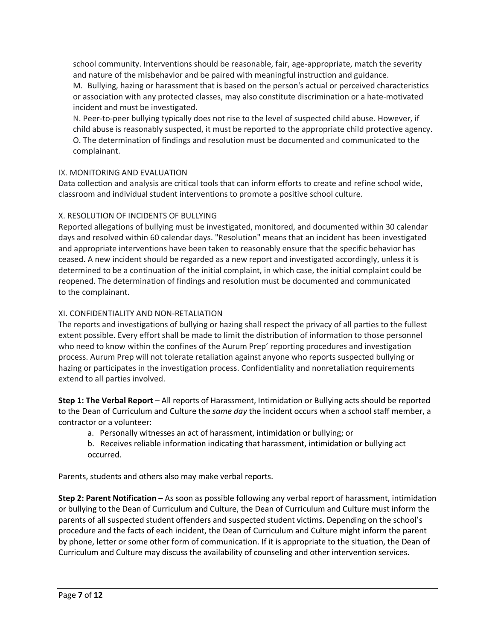school community. Interventions should be reasonable, fair, age-appropriate, match the severity and nature of the misbehavior and be paired with meaningful instruction and guidance.

M. Bullying, hazing or harassment that is based on the person's actual or perceived characteristics or association with any protected classes, may also constitute discrimination or a hate-motivated incident and must be investigated.

N. Peer-to-peer bullying typically does not rise to the level of suspected child abuse. However, if child abuse is reasonably suspected, it must be reported to the appropriate child protective agency. O. The determination of findings and resolution must be documented and communicated to the complainant.

# IX. MONITORING AND EVALUATION

Data collection and analysis are critical tools that can inform efforts to create and refine school wide, classroom and individual student interventions to promote a positive school culture.

# X. RESOLUTION OF INCIDENTS OF BULLYING

Reported allegations of bullying must be investigated, monitored, and documented within 30 calendar days and resolved within 60 calendar days. "Resolution" means that an incident has been investigated and appropriate interventions have been taken to reasonably ensure that the specific behavior has ceased. A new incident should be regarded as a new report and investigated accordingly, unless it is determined to be a continuation of the initial complaint, in which case, the initial complaint could be reopened. The determination of findings and resolution must be documented and communicated to the complainant.

# XI. CONFIDENTIALITY AND NON-RETALIATION

The reports and investigations of bullying or hazing shall respect the privacy of all parties to the fullest extent possible. Every effort shall be made to limit the distribution of information to those personnel who need to know within the confines of the Aurum Prep' reporting procedures and investigation process. Aurum Prep will not tolerate retaliation against anyone who reports suspected bullying or hazing or participates in the investigation process. Confidentiality and nonretaliation requirements extend to all parties involved.

**Step 1: The Verbal Report** – All reports of Harassment, Intimidation or Bullying acts should be reported to the Dean of Curriculum and Culture the *same day* the incident occurs when a school staff member, a contractor or a volunteer:

- a. Personally witnesses an act of harassment, intimidation or bullying; or
- b. Receives reliable information indicating that harassment, intimidation or bullying act occurred.

Parents, students and others also may make verbal reports.

**Step 2: Parent Notification** – As soon as possible following any verbal report of harassment, intimidation or bullying to the Dean of Curriculum and Culture, the Dean of Curriculum and Culture must inform the parents of all suspected student offenders and suspected student victims. Depending on the school's procedure and the facts of each incident, the Dean of Curriculum and Culture might inform the parent by phone, letter or some other form of communication. If it is appropriate to the situation, the Dean of Curriculum and Culture may discuss the availability of counseling and other intervention services**.**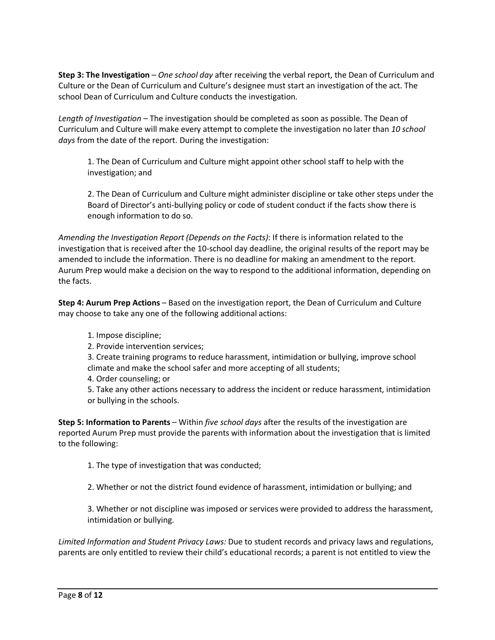**Step 3: The Investigation** – *One school day* after receiving the verbal report, the Dean of Curriculum and Culture or the Dean of Curriculum and Culture's designee must start an investigation of the act. The school Dean of Curriculum and Culture conducts the investigation.

*Length of Investigation* – The investigation should be completed as soon as possible. The Dean of Curriculum and Culture will make every attempt to complete the investigation no later than *10 school days* from the date of the report. During the investigation:

1. The Dean of Curriculum and Culture might appoint other school staff to help with the investigation; and

2. The Dean of Curriculum and Culture might administer discipline or take other steps under the Board of Director's anti-bullying policy or code of student conduct if the facts show there is enough information to do so.

*Amending the Investigation Report (Depends on the Facts)*: If there is information related to the investigation that is received after the 10-school day deadline, the original results of the report may be amended to include the information. There is no deadline for making an amendment to the report. Aurum Prep would make a decision on the way to respond to the additional information, depending on the facts.

**Step 4: Aurum Prep Actions** – Based on the investigation report, the Dean of Curriculum and Culture may choose to take any one of the following additional actions:

1. Impose discipline;

2. Provide intervention services;

3. Create training programs to reduce harassment, intimidation or bullying, improve school climate and make the school safer and more accepting of all students;

4. Order counseling; or

5. Take any other actions necessary to address the incident or reduce harassment, intimidation or bullying in the schools.

**Step 5: Information to Parents** – Within *five school days* after the results of the investigation are reported Aurum Prep must provide the parents with information about the investigation that is limited to the following:

1. The type of investigation that was conducted;

2. Whether or not the district found evidence of harassment, intimidation or bullying; and

3. Whether or not discipline was imposed or services were provided to address the harassment, intimidation or bullying.

*Limited Information and Student Privacy Laws:* Due to student records and privacy laws and regulations, parents are only entitled to review their child's educational records; a parent is not entitled to view the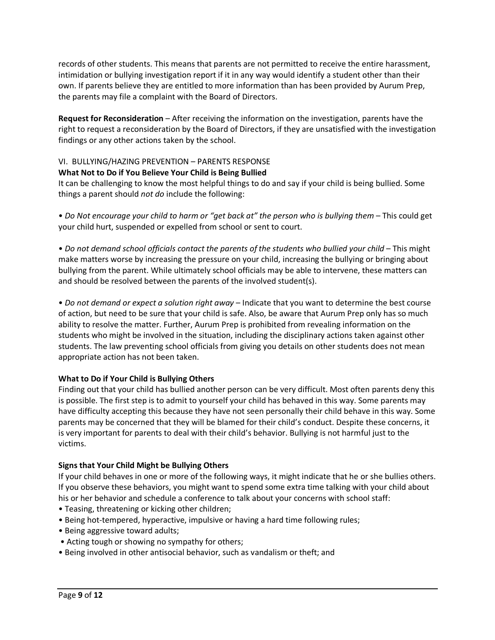records of other students. This means that parents are not permitted to receive the entire harassment, intimidation or bullying investigation report if it in any way would identify a student other than their own. If parents believe they are entitled to more information than has been provided by Aurum Prep, the parents may file a complaint with the Board of Directors.

**Request for Reconsideration** – After receiving the information on the investigation, parents have the right to request a reconsideration by the Board of Directors, if they are unsatisfied with the investigation findings or any other actions taken by the school.

# VI. BULLYING/HAZING PREVENTION – PARENTS RESPONSE

### **What Not to Do if You Believe Your Child is Being Bullied**

It can be challenging to know the most helpful things to do and say if your child is being bullied. Some things a parent should *not do* include the following:

• Do Not encourage your child to harm or "get back at" the person who is bullying them - This could get your child hurt, suspended or expelled from school or sent to court.

• Do not demand school officials contact the parents of the students who bullied your child - This might make matters worse by increasing the pressure on your child, increasing the bullying or bringing about bullying from the parent. While ultimately school officials may be able to intervene, these matters can and should be resolved between the parents of the involved student(s).

• *Do not demand or expect a solution right away* – Indicate that you want to determine the best course of action, but need to be sure that your child is safe. Also, be aware that Aurum Prep only has so much ability to resolve the matter. Further, Aurum Prep is prohibited from revealing information on the students who might be involved in the situation, including the disciplinary actions taken against other students. The law preventing school officials from giving you details on other students does not mean appropriate action has not been taken.

# **What to Do if Your Child is Bullying Others**

Finding out that your child has bullied another person can be very difficult. Most often parents deny this is possible. The first step is to admit to yourself your child has behaved in this way. Some parents may have difficulty accepting this because they have not seen personally their child behave in this way. Some parents may be concerned that they will be blamed for their child's conduct. Despite these concerns, it is very important for parents to deal with their child's behavior. Bullying is not harmful just to the victims.

#### **Signs that Your Child Might be Bullying Others**

If your child behaves in one or more of the following ways, it might indicate that he or she bullies others. If you observe these behaviors, you might want to spend some extra time talking with your child about his or her behavior and schedule a conference to talk about your concerns with school staff:

- Teasing, threatening or kicking other children;
- Being hot-tempered, hyperactive, impulsive or having a hard time following rules;
- Being aggressive toward adults;
- Acting tough or showing no sympathy for others;
- Being involved in other antisocial behavior, such as vandalism or theft; and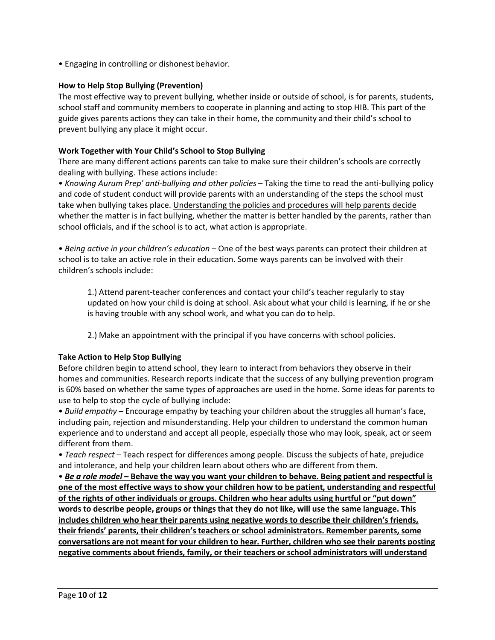• Engaging in controlling or dishonest behavior.

# **How to Help Stop Bullying (Prevention)**

The most effective way to prevent bullying, whether inside or outside of school, is for parents, students, school staff and community members to cooperate in planning and acting to stop HIB. This part of the guide gives parents actions they can take in their home, the community and their child's school to prevent bullying any place it might occur.

# **Work Together with Your Child's School to Stop Bullying**

There are many different actions parents can take to make sure their children's schools are correctly dealing with bullying. These actions include:

• *Knowing Aurum Prep' anti-bullying and other policies* – Taking the time to read the anti-bullying policy and code of student conduct will provide parents with an understanding of the steps the school must take when bullying takes place. Understanding the policies and procedures will help parents decide whether the matter is in fact bullying, whether the matter is better handled by the parents, rather than school officials, and if the school is to act, what action is appropriate.

• *Being active in your children's education* – One of the best ways parents can protect their children at school is to take an active role in their education. Some ways parents can be involved with their children's schools include:

1.) Attend parent-teacher conferences and contact your child's teacher regularly to stay updated on how your child is doing at school. Ask about what your child is learning, if he or she is having trouble with any school work, and what you can do to help.

2.) Make an appointment with the principal if you have concerns with school policies.

# **Take Action to Help Stop Bullying**

Before children begin to attend school, they learn to interact from behaviors they observe in their homes and communities. Research reports indicate that the success of any bullying prevention program is 60% based on whether the same types of approaches are used in the home. Some ideas for parents to use to help to stop the cycle of bullying include:

• *Build empathy* – Encourage empathy by teaching your children about the struggles all human's face, including pain, rejection and misunderstanding. Help your children to understand the common human experience and to understand and accept all people, especially those who may look, speak, act or seem different from them.

• *Teach respect* – Teach respect for differences among people. Discuss the subjects of hate, prejudice and intolerance, and help your children learn about others who are different from them.

• *Be a role model* **– Behave the way you want your children to behave. Being patient and respectful is one of the most effective ways to show your children how to be patient, understanding and respectful of the rights of other individuals or groups. Children who hear adults using hurtful or "put down" words to describe people, groups or things that they do not like, will use the same language. This includes children who hear their parents using negative words to describe their children's friends, their friends' parents, their children's teachers or school administrators. Remember parents, some conversations are not meant for your children to hear. Further, children who see their parents posting negative comments about friends, family, or their teachers or school administrators will understand**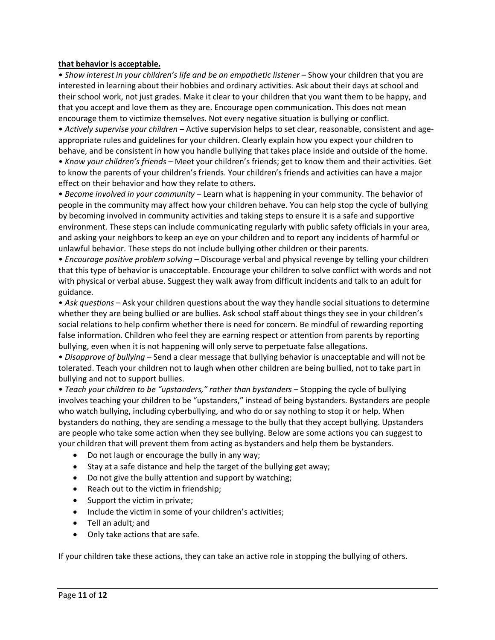#### **that behavior is acceptable.**

• Show interest in your children's life and be an empathetic listener – Show your children that you are interested in learning about their hobbies and ordinary activities. Ask about their days at school and their school work, not just grades. Make it clear to your children that you want them to be happy, and that you accept and love them as they are. Encourage open communication. This does not mean encourage them to victimize themselves. Not every negative situation is bullying or conflict.

• *Actively supervise your children* – Active supervision helps to set clear, reasonable, consistent and ageappropriate rules and guidelines for your children. Clearly explain how you expect your children to behave, and be consistent in how you handle bullying that takes place inside and outside of the home. • *Know your children's friends* – Meet your children's friends; get to know them and their activities. Get

to know the parents of your children's friends. Your children's friends and activities can have a major effect on their behavior and how they relate to others.

• *Become involved in your community* – Learn what is happening in your community. The behavior of people in the community may affect how your children behave. You can help stop the cycle of bullying by becoming involved in community activities and taking steps to ensure it is a safe and supportive environment. These steps can include communicating regularly with public safety officials in your area, and asking your neighbors to keep an eye on your children and to report any incidents of harmful or unlawful behavior. These steps do not include bullying other children or their parents.

• *Encourage positive problem solving* – Discourage verbal and physical revenge by telling your children that this type of behavior is unacceptable. Encourage your children to solve conflict with words and not with physical or verbal abuse. Suggest they walk away from difficult incidents and talk to an adult for guidance.

• *Ask questions* – Ask your children questions about the way they handle social situations to determine whether they are being bullied or are bullies. Ask school staff about things they see in your children's social relations to help confirm whether there is need for concern. Be mindful of rewarding reporting false information. Children who feel they are earning respect or attention from parents by reporting bullying, even when it is not happening will only serve to perpetuate false allegations.

• *Disapprove of bullying* – Send a clear message that bullying behavior is unacceptable and will not be tolerated. Teach your children not to laugh when other children are being bullied, not to take part in bullying and not to support bullies.

• *Teach your children to be "upstanders," rather than bystanders –* Stopping the cycle of bullying involves teaching your children to be "upstanders," instead of being bystanders. Bystanders are people who watch bullying, including cyberbullying, and who do or say nothing to stop it or help. When bystanders do nothing, they are sending a message to the bully that they accept bullying. Upstanders are people who take some action when they see bullying. Below are some actions you can suggest to your children that will prevent them from acting as bystanders and help them be bystanders.

- Do not laugh or encourage the bully in any way;
- Stay at a safe distance and help the target of the bullying get away;
- Do not give the bully attention and support by watching;
- Reach out to the victim in friendship;
- Support the victim in private;
- Include the victim in some of your children's activities;
- Tell an adult; and
- Only take actions that are safe.

If your children take these actions, they can take an active role in stopping the bullying of others.